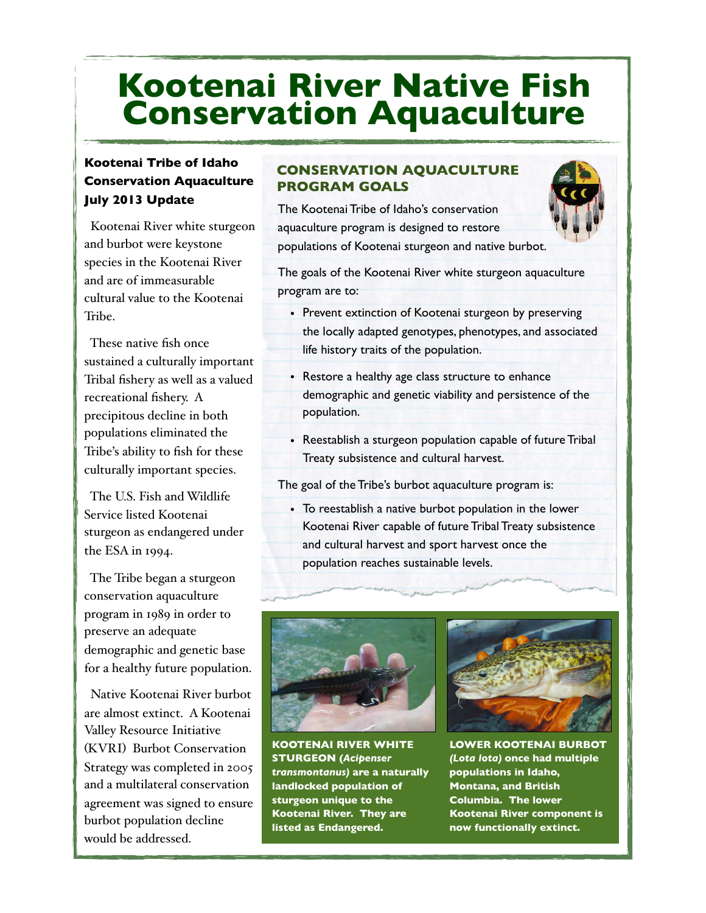# **Kootenai River Native Fish Conservation Aquaculture**

### **Kootenai Tribe of Idaho Conservation Aquaculture July 2013 Update**

 Kootenai River white sturgeon and burbot were keystone species in the Kootenai River and are of immeasurable cultural value to the Kootenai Tribe.

 These native fish once sustained a culturally important Tribal fishery as well as a valued recreational fishery. A precipitous decline in both populations eliminated the Tribe's ability to fish for these culturally important species.

 The U.S. Fish and Wildlife Service listed Kootenai sturgeon as endangered under the ESA in 1994.

 The Tribe began a sturgeon conservation aquaculture program in 1989 in order to preserve an adequate demographic and genetic base for a healthy future population.

 Native Kootenai River burbot are almost extinct. A Kootenai Valley Resource Initiative (KVRI) Burbot Conservation Strategy was completed in 2005 and a multilateral conservation agreement was signed to ensure burbot population decline would be addressed.

### **CONSERVATION AQUACULTURE PROGRAM GOALS**

The Kootenai Tribe of Idaho's conservation aquaculture program is designed to restore populations of Kootenai sturgeon and native burbot.



The goals of the Kootenai River white sturgeon aquaculture program are to:

- Prevent extinction of Kootenai sturgeon by preserving the locally adapted genotypes, phenotypes, and associated life history traits of the population.
- Restore a healthy age class structure to enhance demographic and genetic viability and persistence of the population.
- Reestablish a sturgeon population capable of future Tribal Treaty subsistence and cultural harvest.

The goal of the Tribe's burbot aquaculture program is:

• To reestablish a native burbot population in the lower Kootenai River capable of future Tribal Treaty subsistence and cultural harvest and sport harvest once the population reaches sustainable levels.



**KOOTENAI RIVER WHITE STURGEON (***Acipenser transmontanus)* **are a naturally landlocked population of sturgeon unique to the Kootenai River. They are listed as Endangered.** 



**LOWER KOOTENAI BURBOT** *(Lota lota)* **once had multiple populations in Idaho, Montana, and British Columbia. The lower Kootenai River component is now functionally extinct.**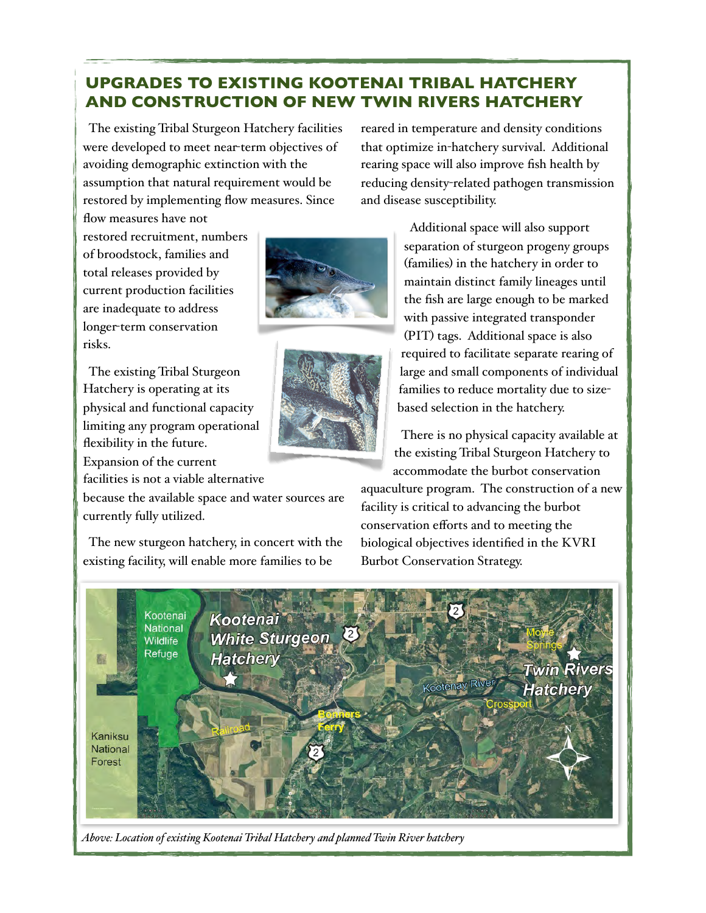## **UPGRADES TO EXISTING KOOTENAI TRIBAL HATCHERY AND CONSTRUCTION OF NEW TWIN RIVERS HATCHERY**

 The existing Tribal Sturgeon Hatchery facilities were developed to meet near-term objectives of avoiding demographic extinction with the assumption that natural requirement would be restored by implementing flow measures. Since flow measures have not

restored recruitment, numbers of broodstock, families and total releases provided by current production facilities are inadequate to address longer-term conservation risks.

 The existing Tribal Sturgeon Hatchery is operating at its physical and functional capacity limiting any program operational flexibility in the future. Expansion of the current

facilities is not a viable alternative

because the available space and water sources are currently fully utilized.

 The new sturgeon hatchery, in concert with the existing facility, will enable more families to be

reared in temperature and density conditions that optimize in-hatchery survival. Additional rearing space will also improve fish health by reducing density-related pathogen transmission and disease susceptibility.

 Additional space will also support separation of sturgeon progeny groups (families) in the hatchery in order to maintain distinct family lineages until the fish are large enough to be marked with passive integrated transponder (PIT) tags. Additional space is also required to facilitate separate rearing of large and small components of individual families to reduce mortality due to size-

> There is no physical capacity available at the existing Tribal Sturgeon Hatchery to accommodate the burbot conservation

aquaculture program. The construction of a new facility is critical to advancing the burbot conservation efforts and to meeting the biological objectives identified in the KVRI Burbot Conservation Strategy.

based selection in the hatchery.



*Above: Location of existing Kootenai Tribal Hatchery and planned Twin River hatchery*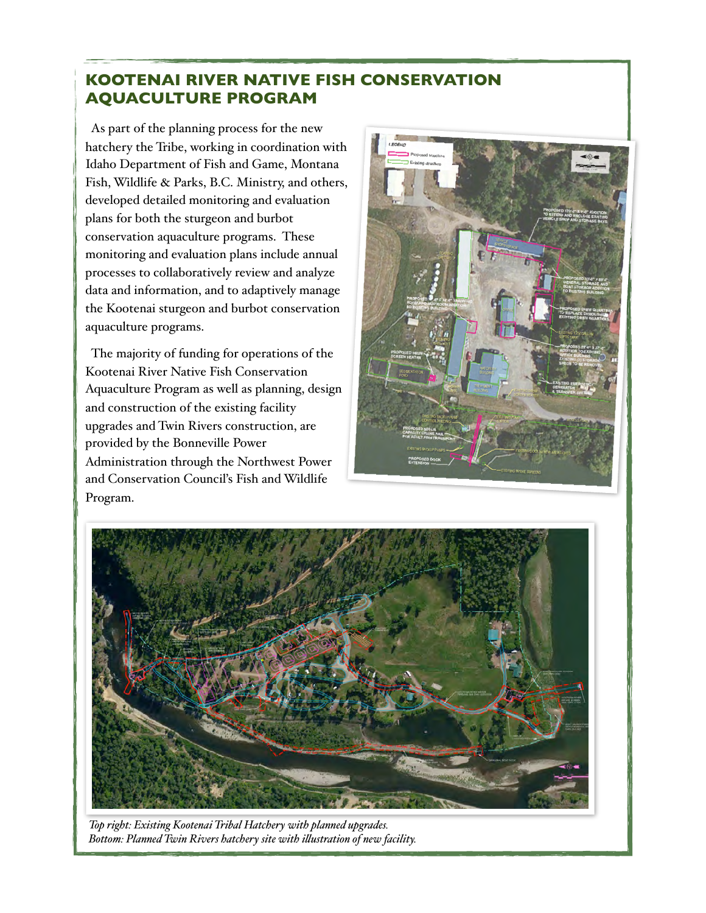# **KOOTENAI RIVER NATIVE FISH CONSERVATION AQUACULTURE PROGRAM**

 As part of the planning process for the new hatchery the Tribe, working in coordination with Idaho Department of Fish and Game, Montana Fish, Wildlife & Parks, B.C. Ministry, and others, developed detailed monitoring and evaluation plans for both the sturgeon and burbot conservation aquaculture programs. These monitoring and evaluation plans include annual processes to collaboratively review and analyze data and information, and to adaptively manage the Kootenai sturgeon and burbot conservation aquaculture programs.

 The majority of funding for operations of the Kootenai River Native Fish Conservation Aquaculture Program as well as planning, design and construction of the existing facility upgrades and Twin Rivers construction, are provided by the Bonneville Power Administration through the Northwest Power and Conservation Council's Fish and Wildlife Program.





*Top right: Existing Kootenai Tribal Hatchery with planned upgrades. Bottom: Planned Twin Rivers hatchery site with i!ustration of new facility.*